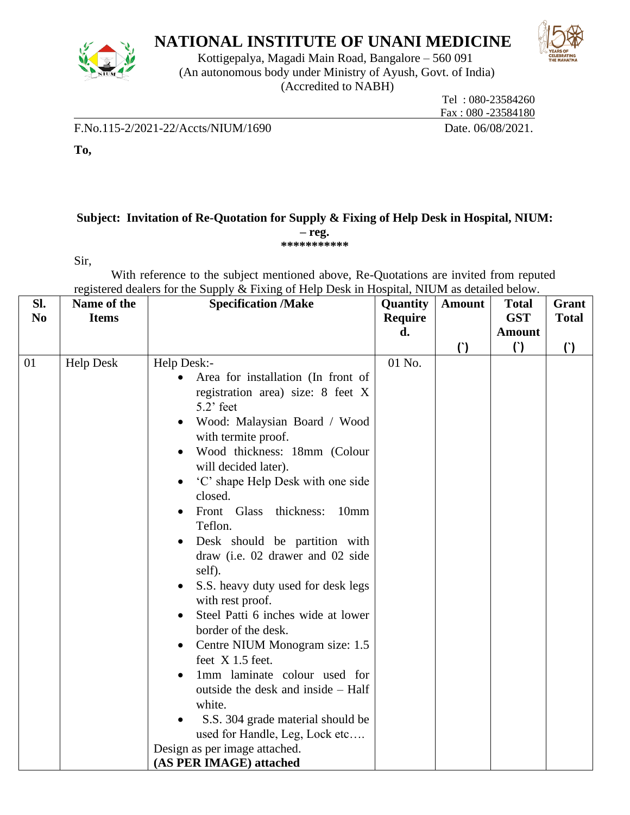

# **NATIONAL INSTITUTE OF UNANI MEDICINE**



Kottigepalya, Magadi Main Road, Bangalore – 560 091 (An autonomous body under Ministry of Ayush, Govt. of India) (Accredited to NABH)

 Tel : 080-23584260 Fax : 080 -23584180

F.No.115-2/2021-22/Accts/NIUM/1690 Date. 06/08/2021.

**To,** 

### **Subject: Invitation of Re-Quotation for Supply & Fixing of Help Desk in Hospital, NIUM: – reg. \*\*\*\*\*\*\*\*\*\*\***

Sir,

With reference to the subject mentioned above, Re-Quotations are invited from reputed registered dealers for the Supply & Fixing of Help Desk in Hospital, NIUM as detailed below.

| SI.<br>N <sub>0</sub> | Name of the<br><b>Items</b> | <b>Specification /Make</b>                                                                                                                                                                                                                                                                                                                                                                                                                                                                                                                                                                                                                                                                                                                                                                           | Quantity<br>Require | <b>Amount</b> | <b>Total</b><br><b>GST</b> | Grant<br><b>Total</b> |
|-----------------------|-----------------------------|------------------------------------------------------------------------------------------------------------------------------------------------------------------------------------------------------------------------------------------------------------------------------------------------------------------------------------------------------------------------------------------------------------------------------------------------------------------------------------------------------------------------------------------------------------------------------------------------------------------------------------------------------------------------------------------------------------------------------------------------------------------------------------------------------|---------------------|---------------|----------------------------|-----------------------|
|                       |                             |                                                                                                                                                                                                                                                                                                                                                                                                                                                                                                                                                                                                                                                                                                                                                                                                      | d.                  |               | <b>Amount</b>              |                       |
|                       |                             |                                                                                                                                                                                                                                                                                                                                                                                                                                                                                                                                                                                                                                                                                                                                                                                                      |                     | $\mathcal{L}$ | $\mathcal{C}$              | $\left( \right)$      |
| 01                    | <b>Help Desk</b>            | Help Desk:-<br>Area for installation (In front of<br>registration area) size: 8 feet X<br>$5.2$ ' feet<br>Wood: Malaysian Board / Wood<br>with termite proof.<br>Wood thickness: 18mm (Colour<br>will decided later).<br>'C' shape Help Desk with one side<br>closed.<br>Front Glass<br>thickness:<br>10mm<br>Teflon.<br>Desk should be partition with<br>draw (i.e. 02 drawer and 02 side<br>self).<br>S.S. heavy duty used for desk legs<br>with rest proof.<br>Steel Patti 6 inches wide at lower<br>border of the desk.<br>Centre NIUM Monogram size: 1.5<br>feet X 1.5 feet.<br>1mm laminate colour used for<br>outside the desk and inside – Half<br>white.<br>S.S. 304 grade material should be<br>used for Handle, Leg, Lock etc<br>Design as per image attached.<br>(AS PER IMAGE) attached | 01 No.              |               |                            |                       |
|                       |                             |                                                                                                                                                                                                                                                                                                                                                                                                                                                                                                                                                                                                                                                                                                                                                                                                      |                     |               |                            |                       |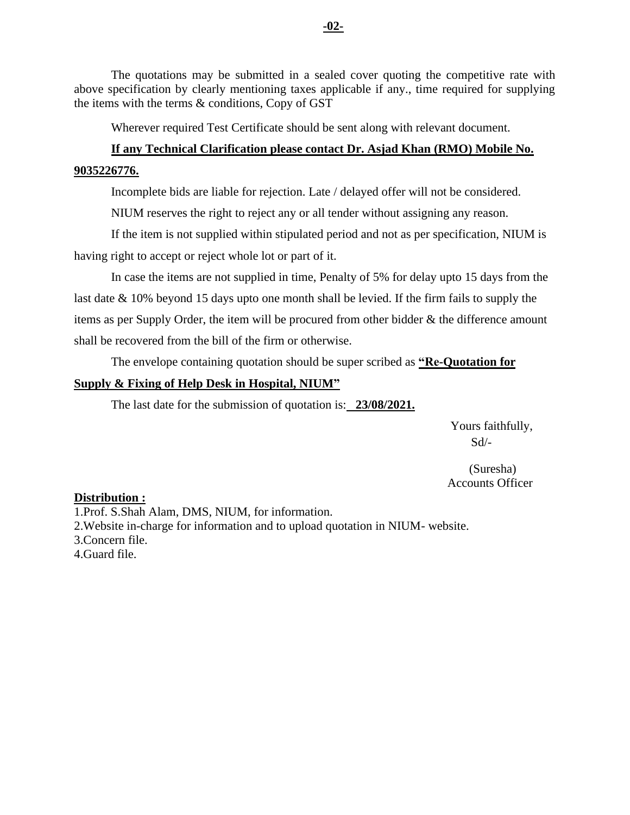The quotations may be submitted in a sealed cover quoting the competitive rate with above specification by clearly mentioning taxes applicable if any., time required for supplying the items with the terms & conditions, Copy of GST

Wherever required Test Certificate should be sent along with relevant document.

## **If any Technical Clarification please contact Dr. Asjad Khan (RMO) Mobile No. 9035226776.**

Incomplete bids are liable for rejection. Late / delayed offer will not be considered.

NIUM reserves the right to reject any or all tender without assigning any reason.

If the item is not supplied within stipulated period and not as per specification, NIUM is having right to accept or reject whole lot or part of it.

In case the items are not supplied in time, Penalty of 5% for delay upto 15 days from the last date & 10% beyond 15 days upto one month shall be levied. If the firm fails to supply the items as per Supply Order, the item will be procured from other bidder & the difference amount shall be recovered from the bill of the firm or otherwise.

The envelope containing quotation should be super scribed as **"Re-Quotation for** 

### **Supply & Fixing of Help Desk in Hospital, NIUM"**

The last date for the submission of quotation is: **23/08/2021.**

 Yours faithfully, Sd/-

 (Suresha) Accounts Officer

#### **Distribution :**

1.Prof. S.Shah Alam, DMS, NIUM, for information. 2.Website in-charge for information and to upload quotation in NIUM- website. 3.Concern file. 4.Guard file.